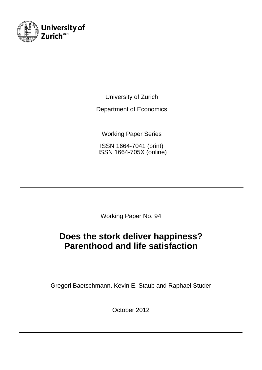

University of Zurich

Department of Economics

Working Paper Series

ISSN 1664-7041 (print) ISSN 1664-705X (online)

Working Paper No. 94

# **Does the stork deliver happiness? Parenthood and life satisfaction**

Gregori Baetschmann, Kevin E. Staub and Raphael Studer

October 2012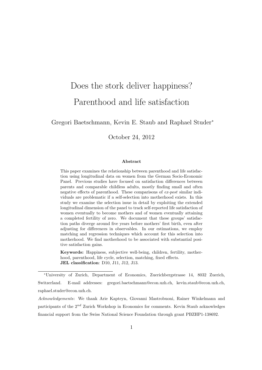# Does the stork deliver happiness? Parenthood and life satisfaction

Gregori Baetschmann, Kevin E. Staub and Raphael Studer<sup>∗</sup>

October 24, 2012

#### Abstract

This paper examines the relationship between parenthood and life satisfaction using longitudinal data on women from the German Socio-Economic Panel. Previous studies have focused on satisfaction differences between parents and comparable childless adults, mostly finding small and often negative effects of parenthood. These comparisons of ex-post similar individuals are problematic if a self-selection into motherhood exists. In this study we examine the selection issue in detail by exploiting the extended longitudinal dimension of the panel to track self-reported life satisfaction of women eventually to become mothers and of women eventually attaining a completed fertility of zero. We document that these groups' satisfaction paths diverge around five years before mothers' first birth, even after adjusting for differences in observables. In our estimations, we employ matching and regression techniques which account for this selection into motherhood. We find motherhood to be associated with substantial positive satisfaction gains.

Keywords: Happiness, subjective well-being, children, fertility, motherhood, parenthood, life cycle, selection, matching, fixed effects. JEL classification: D10, J11, J12, J13.

<sup>∗</sup>University of Zurich, Department of Economics, Zuerichbergstrasse 14, 8032 Zuerich, Switzerland. E-mail addresses: gregori.baetschmann@econ.uzh.ch, kevin.staub@econ.uzh.ch, raphael.studer@econ.uzh.ch.

Acknowledgements: We thank Arie Kapteyn, Giovanni Mastrobuoni, Rainer Winkelmann and participants of the  $2^{nd}$  Zurich Workshop in Economics for comments. Kevin Staub acknowledges financial support from the Swiss National Science Foundation through grant PBZHP1-138692.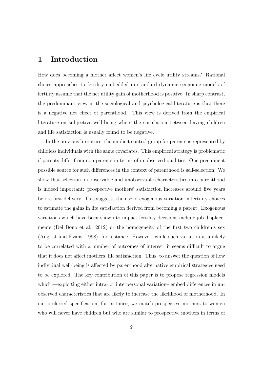### 1 Introduction

How does becoming a mother affect women's life cycle utility streams? Rational choice approaches to fertility embedded in standard dynamic economic models of fertility assume that the net utility gain of motherhood is positive. In sharp contrast, the predominant view in the sociological and psychological literature is that there is a negative net effect of parenthood. This view is derived from the empirical literature on subjective well-being where the correlation between having children and life satisfaction is usually found to be negative.

In the previous literature, the implicit control group for parents is represented by childless individuals with the same covariates. This empirical strategy is problematic if parents differ from non-parents in terms of unobserved qualities. One preeminent possible source for such differences in the context of parenthood is self-selection. We show that selection on observable and unobservable characteristics into parenthood is indeed important: prospective mothers' satisfaction increases around five years before first delivery. This suggests the use of exogenous variation in fertility choices to estimate the gains in life satisfaction derived from becoming a parent. Exogenous variations which have been shown to impact fertility decisions include job displacements (Del Bono et al., 2012) or the homogeneity of the first two children's sex (Angrist and Evans, 1998), for instance. However, while such variation is unlikely to be correlated with a number of outcomes of interest, it seems difficult to argue that it does not affect mothers' life satisfaction. Thus, to answer the question of how individual well-being is affected by parenthood alternative empirical strategies need to be explored. The key contribution of this paper is to propose regression models which —exploiting either intra- or interpersonal variation– embed differences in unobserved characteristics that are likely to increase the likelihood of motherhood. In our preferred specification, for instance, we match prospective mothers to women who will never have children but who are similar to prospective mothers in terms of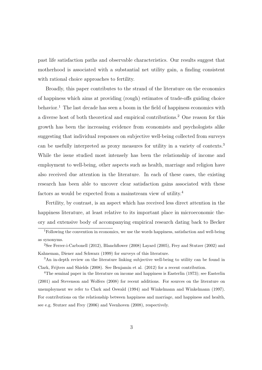past life satisfaction paths and observable characteristics. Our results suggest that motherhood is associated with a substantial net utility gain, a finding consistent with rational choice approaches to fertility.

Broadly, this paper contributes to the strand of the literature on the economics of happiness which aims at providing (rough) estimates of trade-offs guiding choice behavior.<sup>1</sup> The last decade has seen a boom in the field of happiness economics with a diverse host of both theoretical and empirical contributions.<sup>2</sup> One reason for this growth has been the increasing evidence from economists and psychologists alike suggesting that individual responses on subjective well-being collected from surveys can be usefully interpreted as proxy measures for utility in a variety of contexts.<sup>3</sup> While the issue studied most intensely has been the relationship of income and employment to well-being, other aspects such as health, marriage and religion have also received due attention in the literature. In each of these cases, the existing research has been able to uncover clear satisfaction gains associated with these factors as would be expected from a mainstream view of utility.<sup>4</sup>

Fertility, by contrast, is an aspect which has received less direct attention in the happiness literature, at least relative to its important place in microeconomic theory and extensive body of accompanying empirical research dating back to Becker

<sup>&</sup>lt;sup>1</sup>Following the convention in economics, we use the words happiness, satisfaction and well-being as synonyms.

<sup>2</sup>See Ferrer-i-Carbonell (2012), Blanchflower (2008) Layard (2005), Frey and Stutzer (2002) and Kahneman, Diener and Schwarz (1999) for surveys of this literature.

<sup>3</sup>An in-depth review on the literature linking subjective well-being to utility can be found in Clark, Frijters and Shields (2008). See Benjamin et al. (2012) for a recent contribution.

<sup>&</sup>lt;sup>4</sup>The seminal paper in the literature on income and happiness is Easterlin (1973); see Easterlin (2001) and Stevenson and Wolfers (2008) for recent additions. For sources on the literature on unemployment we refer to Clark and Oswald (1994) and Winkelmann and Winkelmann (1997). For contributions on the relationship between happiness and marriage, and happiness and health, see e.g. Stutzer and Frey (2006) and Veenhoven (2008), respectively.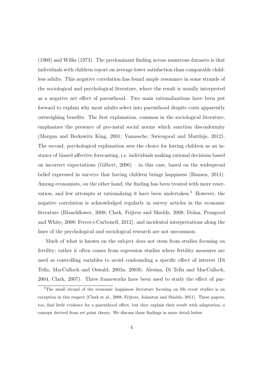(1960) and Willis (1973). The predominant finding across numerous datasets is that individuals with children report on average lower satisfaction than comparable childless adults. This negative correlation has found ample resonance in some strands of the sociological and psychological literature, where the result is usually interpreted as a negative net effect of parenthood. Two main rationalizations have been put forward to explain why most adults select into parenthood despite costs apparently outweighing benefits. The first explanation, common in the sociological literature, emphasizes the presence of pro-natal social norms which sanction disconformity (Morgan and Berkowitz King, 2001; Vanassche, Swicegood and Matthijs, 2012). The second, psychological explanation sees the choice for having children as an instance of biased affective forecasting, i.e. individuals making rational decisions based on incorrect expectations (Gilbert, 2006) – in this case, based on the widespread belief expressed in surveys that having children brings happiness (Hansen, 2011). Among economists, on the other hand, the finding has been treated with more reservation, and few attempts at rationalizing it have been undertaken.<sup>5</sup> However, the negative correlation is acknowledged regularly in survey articles in the economic literature (Blanchflower, 2008; Clark, Frijters and Shields, 2008; Dolan, Peasgood and White, 2008; Ferrer-i-Carbonell, 2012), and incidental interpretations along the lines of the psychological and sociological research are not uncommon.

Much of what is known on the subject does not stem from studies focusing on fertility; rather it often comes from regression studies where fertility measures are used as controlling variables to avoid confounding a specific effect of interest (Di Tella, MacCulloch and Oswald, 2003a, 2003b, Alesina, Di Tella and MacCulloch, 2004, Clark, 2007). Three frameworks have been used to study the effect of par-

<sup>5</sup>The small strand of the economic happiness literature focusing on life event studies is an exception in this respect (Clark et al., 2008, Frijters, Johnston and Shields, 2011). These papers, too, find little evidence for a parenthood effect, but they explain their result with adaptation, a concept derived from set point theory. We discuss these findings in more detail below.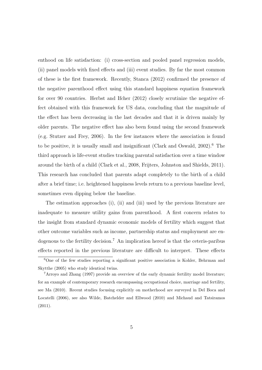enthood on life satisfaction: (i) cross-section and pooled panel regression models, (ii) panel models with fixed effects and (iii) event studies. By far the most common of these is the first framework. Recently, Stanca (2012) confirmed the presence of the negative parenthood effect using this standard happiness equation framework for over 90 countries. Herbst and Ifcher (2012) closely scrutinize the negative effect obtained with this framework for US data, concluding that the magnitude of the effect has been decreasing in the last decades and that it is driven mainly by older parents. The negative effect has also been found using the second framework (e.g. Stutzer and Frey, 2006). In the few instances where the association is found to be positive, it is usually small and insignificant (Clark and Oswald,  $2002$ ).<sup>6</sup> The third approach is life-event studies tracking parental satisfaction over a time window around the birth of a child (Clark et al., 2008, Frijters, Johnston and Shields, 2011). This research has concluded that parents adapt completely to the birth of a child after a brief time; i.e. heightened happiness levels return to a previous baseline level, sometimes even dipping below the baseline.

The estimation approaches (i), (ii) and (iii) used by the previous literature are inadequate to measure utility gains from parenthood. A first concern relates to the insight from standard dynamic economic models of fertility which suggest that other outcome variables such as income, partnership status and employment are endogenous to the fertility decision.<sup>7</sup> An implication hereof is that the ceteris-paribus effects reported in the previous literature are difficult to interpret. These effects

 $6$ One of the few studies reporting a significant positive association is Kohler, Behrman and Skytthe (2005) who study identical twins.

<sup>7</sup>Arroyo and Zhang (1997) provide an overview of the early dynamic fertility model literature; for an example of contemporary research encompassing occupational choice, marriage and fertility, see Ma (2010). Recent studies focusing explicitly on motherhood are surveyed in Del Boca and Locatelli (2006), see also Wilde, Batchelder and Ellwood (2010) and Michaud and Tatsiramos (2011).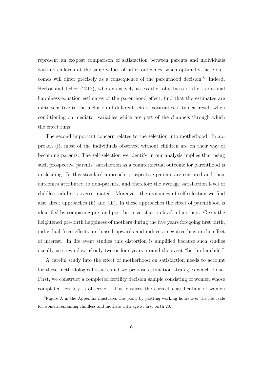represent an ex-post comparison of satisfaction between parents and individuals with no children at the same values of other outcomes, when optimally these outcomes will differ precisely as a consequence of the parenthood decision.<sup>8</sup> Indeed, Herbst and Ifcher (2012), who extensively assess the robustness of the traditional happiness-equation estimates of the parenthood effect, find that the estimates are quite sensitive to the inclusion of different sets of covariates, a typical result when conditioning on mediator variables which are part of the channels through which the effect runs.

The second important concern relates to the selection into motherhood. In approach (i), most of the individuals observed without children are on their way of becoming parents. The self-selection we identify in our analysis implies that using such prospective parents' satisfaction as a counterfactual outcome for parenthood is misleading. In this standard approach, prospective parents are censored and their outcomes attributed to non-parents, and therefore the average satisfaction level of childless adults is overestimated. Moreover, the dynamics of self-selection we find also affect approaches (ii) and (iii). In these approaches the effect of parenthood is identified by comparing pre- and post-birth satisfaction levels of mothers. Given the heightened pre-birth happiness of mothers during the five years foregoing first birth, individual fixed effects are biased upwards and induce a negative bias in the effect of interest. In life event studies this distortion is amplified because such studies usually use a window of only two or four years around the event "birth of a child."

A careful study into the effect of motherhood on satisfaction needs to account for these methodological issues, and we propose estimation strategies which do so. First, we construct a completed fertility decision sample consisting of women whose completed fertility is observed. This ensures the correct classification of women

<sup>8</sup>Figure A in the Appendix illustrates this point by plotting working hours over the life cycle for women remaining childless and mothers with age at first birth 28.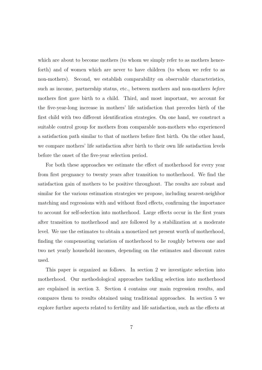which are about to become mothers (to whom we simply refer to as mothers henceforth) and of women which are never to have children (to whom we refer to as non-mothers). Second, we establish comparability on observable characteristics, such as income, partnership status, etc., between mothers and non-mothers before mothers first gave birth to a child. Third, and most important, we account for the five-year-long increase in mothers' life satisfaction that precedes birth of the first child with two different identification strategies. On one hand, we construct a suitable control group for mothers from comparable non-mothers who experienced a satisfaction path similar to that of mothers before first birth. On the other hand, we compare mothers' life satisfaction after birth to their own life satisfaction levels before the onset of the five-year selection period.

For both these approaches we estimate the effect of motherhood for every year from first pregnancy to twenty years after transition to motherhood. We find the satisfaction gain of mothers to be positive throughout. The results are robust and similar for the various estimation strategies we propose, including nearest-neighbor matching and regressions with and without fixed effects, confirming the importance to account for self-selection into motherhood. Large effects occur in the first years after transition to motherhood and are followed by a stabilization at a moderate level. We use the estimates to obtain a monetized net present worth of motherhood, finding the compensating variation of motherhood to lie roughly between one and two net yearly household incomes, depending on the estimates and discount rates used.

This paper is organized as follows. In section 2 we investigate selection into motherhood. Our methodological approaches tackling selection into motherhood are explained in section 3. Section 4 contains our main regression results, and compares them to results obtained using traditional approaches. In section 5 we explore further aspects related to fertility and life satisfaction, such as the effects at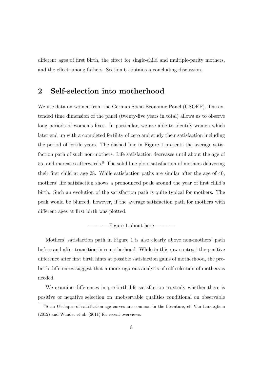different ages of first birth, the effect for single-child and multiple-parity mothers, and the effect among fathers. Section 6 contains a concluding discussion.

### 2 Self-selection into motherhood

We use data on women from the German Socio-Economic Panel (GSOEP). The extended time dimension of the panel (twenty-five years in total) allows us to observe long periods of women's lives. In particular, we are able to identify women which later end up with a completed fertility of zero and study their satisfaction including the period of fertile years. The dashed line in Figure 1 presents the average satisfaction path of such non-mothers. Life satisfaction decreases until about the age of 55, and increases afterwards.<sup>9</sup> The solid line plots satisfaction of mothers delivering their first child at age 28. While satisfaction paths are similar after the age of 40, mothers' life satisfaction shows a pronounced peak around the year of first child's birth. Such an evolution of the satisfaction path is quite typical for mothers. The peak would be blurred, however, if the average satisfaction path for mothers with different ages at first birth was plotted.

 $---$  Figure 1 about here  $---$ 

Mothers' satisfaction path in Figure 1 is also clearly above non-mothers' path before and after transition into motherhood. While in this raw contrast the positive difference after first birth hints at possible satisfaction gains of motherhood, the prebirth differences suggest that a more rigorous analysis of self-selection of mothers is needed.

We examine differences in pre-birth life satisfaction to study whether there is positive or negative selection on unobservable qualities conditional on observable

<sup>9</sup>Such U-shapes of satisfaction-age curves are common in the literature, cf. Van Landeghem (2012) and Wunder et al. (2011) for recent overviews.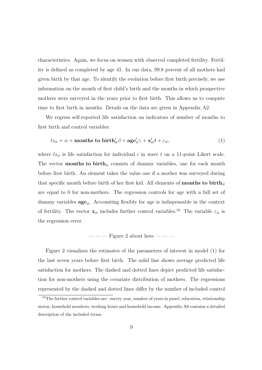characteristics. Again, we focus on women with observed completed fertility. Fertility is defined as completed by age 41. In our data, 99.8 percent of all mothers had given birth by that age. To identify the evolution before first birth precisely, we use information on the month of first child's birth and the months in which prospective mothers were surveyed in the years prior to first birth. This allows us to compute time to first birth in months. Details on the data are given in Appendix A2.

We regress self-reported life satisfaction on indicators of number of months to first birth and control variables:

$$
ls_{it} = \alpha + \text{months to birth}'_{it}\beta + \text{age}'_{it}\gamma + \mathbf{x}'_{it}\delta + \varepsilon_{it},\tag{1}
$$

where  $ls_{it}$  is life satisfaction for individual i in wave t on a 11-point Likert scale. The vector **months to birth**<sub>it</sub> consists of dummy variables, one for each month before first birth. An element takes the value one if a mother was surveyed during that specific month before birth of her first kid. All elements of **months to birth**<sub>it</sub> are equal to 0 for non-mothers. The regression controls for age with a full set of dummy variables  $\text{age}_{it}$ . Accounting flexibly for age is indispensable in the context of fertility. The vector  $\mathbf{x}_{it}$  includes further control variables.<sup>10</sup> The variable  $\varepsilon_{it}$  is the regression error.

### $-$  Figure 2 about here  $-$

Figure 2 visualizes the estimates of the parameters of interest in model (1) for the last seven years before first birth. The solid line shows average predicted life satisfaction for mothers. The dashed and dotted lines depict predicted life satisfaction for non-mothers using the covariate distribution of mothers. The regressions represented by the dashed and dotted lines differ by the number of included control

<sup>&</sup>lt;sup>10</sup>The further control variables are: survey year, number of years in panel, education, relationship status, household members, working hours and household income. Appendix A0 contains a detailed description of the included terms.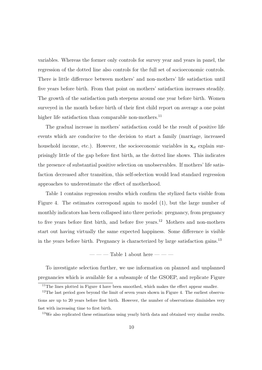variables. Whereas the former only controls for survey year and years in panel, the regression of the dotted line also controls for the full set of socioeconomic controls. There is little difference between mothers' and non-mothers' life satisfaction until five years before birth. From that point on mothers' satisfaction increases steadily. The growth of the satisfaction path steepens around one year before birth. Women surveyed in the month before birth of their first child report on average a one point higher life satisfaction than comparable non-mothers. $^{11}$ 

The gradual increase in mothers' satisfaction could be the result of positive life events which are conducive to the decision to start a family (marriage, increased household income, etc.). However, the socioeconomic variables in  $x_{it}$  explain surprisingly little of the gap before first birth, as the dotted line shows. This indicates the presence of substantial positive selection on unobservables. If mothers' life satisfaction decreased after transition, this self-selection would lead standard regression approaches to underestimate the effect of motherhood.

Table 1 contains regression results which confirm the stylized facts visible from Figure 4. The estimates correspond again to model (1), but the large number of monthly indicators has been collapsed into three periods: pregnancy, from pregnancy to five years before first birth, and before five years.<sup>12</sup> Mothers and non-mothers start out having virtually the same expected happiness. Some difference is visible in the years before birth. Pregnancy is characterized by large satisfaction gains.<sup>13</sup>

 $---$  Table 1 about here  $---$ 

To investigate selection further, we use information on planned and unplanned pregnancies which is available for a subsample of the GSOEP, and replicate Figure

 $11$ The lines plotted in Figure 4 have been smoothed, which makes the effect appear smaller.

 $12$ The last period goes beyond the limit of seven years shown in Figure 4. The earliest observations are up to 20 years before first birth. However, the number of observations diminishes very fast with increasing time to first birth.

<sup>13</sup>We also replicated these estimations using yearly birth data and obtained very similar results.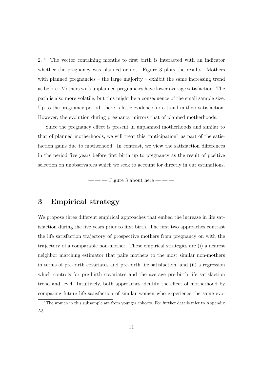2.<sup>14</sup> The vector containing months to first birth is interacted with an indicator whether the pregnancy was planned or not. Figure 3 plots the results. Mothers with planned pregnancies – the large majority – exhibit the same increasing trend as before. Mothers with unplanned pregnancies have lower average satisfaction. The path is also more volatile, but this might be a consequence of the small sample size. Up to the pregnancy period, there is little evidence for a trend in their satisfaction. However, the evolution during pregnancy mirrors that of planned motherhoods.

Since the pregnancy effect is present in unplanned motherhoods and similar to that of planned motherhoods, we will treat this "anticipation" as part of the satisfaction gains due to motherhood. In contrast, we view the satisfaction differences in the period five years before first birth up to pregnancy as the result of positive selection on unobservables which we seek to account for directly in our estimations.

 $---$  Figure 3 about here  $---$ 

### 3 Empirical strategy

We propose three different empirical approaches that embed the increase in life satisfaction during the five years prior to first birth. The first two approaches contrast the life satisfaction trajectory of prospective mothers from pregnancy on with the trajectory of a comparable non-mother. These empirical strategies are (i) a nearest neighbor matching estimator that pairs mothers to the most similar non-mothers in terms of pre-birth covariates and pre-birth life satisfaction, and (ii) a regression which controls for pre-birth covariates and the average pre-birth life satisfaction trend and level. Intuitively, both approaches identify the effect of motherhood by comparing future life satisfaction of similar women who experience the same evo-

 $14$ The women in this subsample are from younger cohorts. For further details refer to Appendix A3.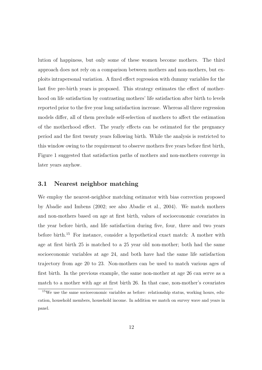lution of happiness, but only some of these women become mothers. The third approach does not rely on a comparison between mothers and non-mothers, but exploits intrapersonal variation. A fixed effect regression with dummy variables for the last five pre-birth years is proposed. This strategy estimates the effect of motherhood on life satisfaction by contrasting mothers' life satisfaction after birth to levels reported prior to the five year long satisfaction increase. Whereas all three regression models differ, all of them preclude self-selection of mothers to affect the estimation of the motherhood effect. The yearly effects can be estimated for the pregnancy period and the first twenty years following birth. While the analysis is restricted to this window owing to the requirement to observe mothers five years before first birth, Figure 1 suggested that satisfaction paths of mothers and non-mothers converge in later years anyhow.

### 3.1 Nearest neighbor matching

We employ the nearest-neighbor matching estimator with bias correction proposed by Abadie and Imbens (2002; see also Abadie et al., 2004). We match mothers and non-mothers based on age at first birth, values of socioeconomic covariates in the year before birth, and life satisfaction during five, four, three and two years before birth.<sup>15</sup> For instance, consider a hypothetical exact match: A mother with age at first birth 25 is matched to a 25 year old non-mother; both had the same socioeconomic variables at age 24, and both have had the same life satisfaction trajectory from age 20 to 23. Non-mothers can be used to match various ages of first birth. In the previous example, the same non-mother at age 26 can serve as a match to a mother with age at first birth 26. In that case, non-mother's covariates

<sup>15</sup>We use the same socioeconomic variables as before: relationship status, working hours, education, household members, household income. In addition we match on survey wave and years in panel.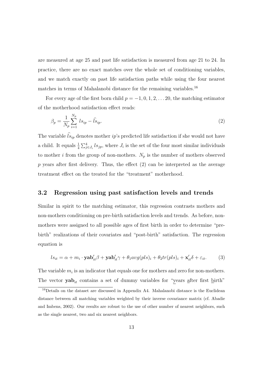are measured at age 25 and past life satisfaction is measured from age 21 to 24. In practice, there are no exact matches over the whole set of conditioning variables, and we match exactly on past life satisfaction paths while using the four nearest matches in terms of Mahalanobi distance for the remaining variables.<sup>16</sup>

For every age of the first born child  $p = -1, 0, 1, 2, \ldots 20$ , the matching estimator of the motherhood satisfaction effect reads:

$$
\beta_p = \frac{1}{N_p} \sum_{i=1}^{N_p} l s_{ip} - \hat{l} s_{ip}.
$$
\n(2)

The variable  $\hat{l} s_{ip}$  denotes mother *ip*'s predicted life satisfaction if she would not have a child. It equals  $\frac{1}{4} \sum_{j \in J_i}^4 l s_{jp}$ , where  $J_i$  is the set of the four most similar individuals to mother i from the group of non-mothers.  $N_p$  is the number of mothers observed  $p$  years after first delivery. Thus, the effect  $(2)$  can be interpreted as the average treatment effect on the treated for the "treatment" motherhood.

### 3.2 Regression using past satisfaction levels and trends

Similar in spirit to the matching estimator, this regression contrasts mothers and non-mothers conditioning on pre-birth satisfaction levels and trends. As before, nonmothers were assigned to all possible ages of first birth in order to determine "prebirth" realizations of their covariates and "post-birth" satisfaction. The regression equation is

$$
ls_{it} = \alpha + m_i \cdot \mathbf{yab}_{it}'\beta + \mathbf{yab}_{it}'\gamma + \theta_1 avg(pls)_i + \theta_2 tr(pls)_i + \mathbf{x}_{it}'\delta + \varepsilon_{it}.
$$
 (3)

The variable  $m_i$  is an indicator that equals one for mothers and zero for non-mothers. The vector  $\mathbf{yab}_{it}$  contains a set of dummy variables for "years after first birth"

<sup>16</sup>Details on the dataset are discussed in Appendix A4. Mahalanobi distance is the Euclidean distance between all matching variables weighted by their inverse covariance matrix (cf. Abadie and Imbens, 2002). Our results are robust to the use of other number of nearest neighbors, such as the single nearest, two and six nearest neighbors.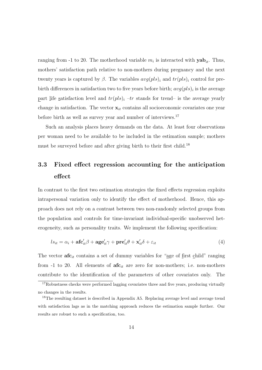ranging from -1 to 20. The motherhood variable  $m_i$  is interacted with  $\mathbf{yab}_{it}$ . Thus, mothers' satisfaction path relative to non-mothers during pregnancy and the next twenty years is captured by  $\beta$ . The variables  $avg(pls)_i$  and  $tr(pls)_i$  control for prebirth differences in satisfaction two to five years before birth;  $avg(pls)_i$  is the average part life satisfaction level and  $tr(pls)_i - tr$  stands for trend– is the average yearly change in satisfaction. The vector  $x_{it}$  contains all socioeconomic covariates one year before birth as well as survey year and number of interviews.<sup>17</sup>

Such an analysis places heavy demands on the data. At least four observations per woman need to be available to be included in the estimation sample; mothers must be surveyed before and after giving birth to their first child.<sup>18</sup>

## 3.3 Fixed effect regression accounting for the anticipation effect

In contrast to the first two estimation strategies the fixed effects regression exploits intrapersonal variation only to identify the effect of motherhood. Hence, this approach does not rely on a contrast between two non-randomly selected groups from the population and controls for time-invariant individual-specific unobserved heterogeneity, such as personality traits. We implement the following specification:

$$
ls_{it} = \alpha_i + \mathbf{afc}_{it}'\beta + \mathbf{age}_{it}'\gamma + \mathbf{pre}_{it}'\theta + \mathbf{x}_{it}'\delta + \varepsilon_{it}
$$
\n(4)

The vector  $\mathbf{a} \mathbf{f} \mathbf{c}_{it}$  contains a set of dummy variables for "age of first child" ranging from -1 to 20. All elements of  $\mathbf{a} \mathbf{f} \mathbf{c}_{it}$  are zero for non-mothers; i.e. non-mothers contribute to the identification of the parameters of other covariates only. The

<sup>&</sup>lt;sup>17</sup>Robustness checks were performed lagging covariates three and five years, producing virtually no changes in the results.

<sup>&</sup>lt;sup>18</sup>The resulting dataset is described in Appendix A5. Replacing average level and average trend with satisfaction lags as in the matching approach reduces the estimation sample further. Our results are robust to such a specification, too.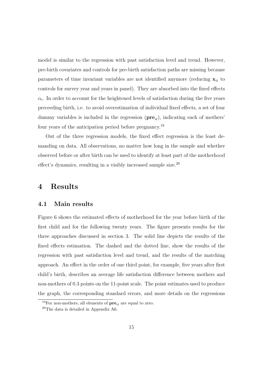model is similar to the regression with past satisfaction level and trend. However, pre-birth covariates and controls for pre-birth satisfaction paths are missing because parameters of time invariant variables are not identified anymore (reducing  $x_{it}$  to controls for survey year and years in panel). They are absorbed into the fixed effects  $\alpha_i$ . In order to account for the heightened levels of satisfaction during the five years preceeding birth, i.e. to avoid overestimation of individual fixed effects, a set of four dummy variables is included in the regression  $(\mathbf{pre}_{it})$ , indicating each of mothers' four years of the anticipation period before pregnancy.<sup>19</sup>

Out of the three regression models, the fixed effect regression is the least demanding on data. All observations, no matter how long in the sample and whether observed before or after birth can be used to identify at least part of the motherhood effect's dynamics, resulting in a visibly increased sample size.<sup>20</sup>

### 4 Results

### 4.1 Main results

Figure 6 shows the estimated effects of motherhood for the year before birth of the first child and for the following twenty years. The figure presents results for the three approaches discussed in section 3. The solid line depicts the results of the fixed effects estimation. The dashed and the dotted line, show the results of the regression with past satisfaction level and trend, and the results of the matching approach. An effect in the order of one third point, for example, five years after first child's birth, describes an average life satisfaction difference between mothers and non-mothers of 0.3 points on the 11-point scale. The point estimates used to produce the graph, the corresponding standard errors, and more details on the regressions

<sup>&</sup>lt;sup>19</sup>For non-mothers, all elements of  $pre_{it}$  are equal to zero.

<sup>20</sup>The data is detailed in Appendix A6.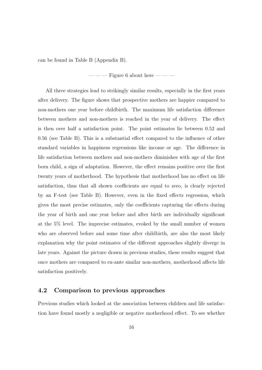can be found in Table B (Appendix B).

 $---$  Figure 6 about here  $---$ 

All three strategies lead to strikingly similar results, especially in the first years after delivery. The figure shows that prospective mothers are happier compared to non-mothers one year before childbirth. The maximum life satisfaction difference between mothers and non-mothers is reached in the year of delivery. The effect is then over half a satisfaction point. The point estimates lie between 0.52 and 0.56 (see Table B). This is a substantial effect compared to the influence of other standard variables in happiness regressions like income or age. The difference in life satisfaction between mothers and non-mothers diminishes with age of the first born child, a sign of adaptation. However, the effect remains positive over the first twenty years of motherhood. The hypothesis that motherhood has no effect on life satisfaction, thus that all shown coefficients are equal to zero, is clearly rejected by an F-test (see Table B). However, even in the fixed effects regression, which gives the most precise estimates, only the coefficients capturing the effects during the year of birth and one year before and after birth are individually significant at the 5% level. The imprecise estimates, evoked by the small number of women who are observed before and some time after childbirth, are also the most likely explanation why the point estimates of the different approaches slightly diverge in late years. Against the picture drawn in previous studies, these results suggest that once mothers are compared to ex-ante similar non-mothers, motherhood affects life satisfaction positively.

### 4.2 Comparison to previous approaches

Previous studies which looked at the association between children and life satisfaction have found mostly a negligible or negative motherhood effect. To see whether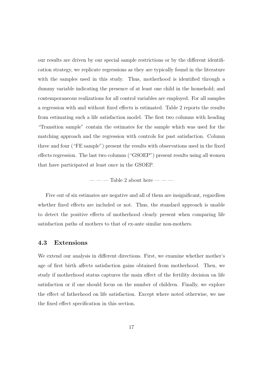our results are driven by our special sample restrictions or by the different identification strategy, we replicate regressions as they are typically found in the literature with the samples used in this study. Thus, motherhood is identified through a dummy variable indicating the presence of at least one child in the household; and contemporaneous realizations for all control variables are employed. For all samples a regression with and without fixed effects is estimated. Table 2 reports the results from estimating such a life satisfaction model. The first two columns with heading "Transition sample" contain the estimates for the sample which was used for the matching approach and the regression with controls for past satisfaction. Column three and four ("FE sample") present the results with observations used in the fixed effects regression. The last two columns ("GSOEP") present results using all women that have participated at least once in the GSOEP.

 $---$  Table 2 about here  $---$ 

Five out of six estimates are negative and all of them are insignificant, regardless whether fixed effects are included or not. Thus, the standard approach is unable to detect the positive effects of motherhood clearly present when comparing life satisfaction paths of mothers to that of ex-ante similar non-mothers.

### 4.3 Extensions

We extend our analysis in different directions. First, we examine whether mother's age of first birth affects satisfaction gains obtained from motherhood. Then, we study if motherhood status captures the main effect of the fertility decision on life satisfaction or if one should focus on the number of children. Finally, we explore the effect of fatherhood on life satisfaction. Except where noted otherwise, we use the fixed effect specification in this section.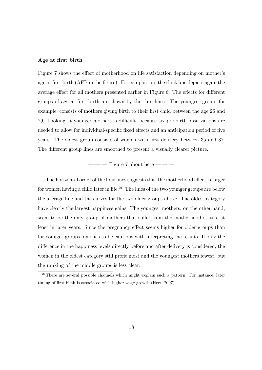#### Age at first birth

Figure 7 shows the effect of motherhood on life satisfaction depending on mother's age at first birth (AFB in the figure). For comparison, the thick line depicts again the average effect for all mothers presented earlier in Figure 6. The effects for different groups of age at first birth are shown by the thin lines. The youngest group, for example, consists of mothers giving birth to their first child between the age 26 and 29. Looking at younger mothers is difficult, because six pre-birth observations are needed to allow for individual-specific fixed effects and an anticipation period of five years. The oldest group consists of women with first delivery between 35 and 37. The different group lines are smoothed to present a visually clearer picture.

 $---$  Figure 7 about here  $---$ 

The horizontal order of the four lines suggests that the motherhood effect is larger for women having a child later in life.<sup>21</sup> The lines of the two younger groups are below the average line and the curves for the two older groups above. The oldest category have clearly the largest happiness gains. The youngest mothers, on the other hand, seem to be the only group of mothers that suffer from the motherhood status, at least in later years. Since the pregnancy effect seems higher for older groups than for younger groups, one has to be cautious with interpreting the results. If only the difference in the happiness levels directly before and after delivery is considered, the women in the oldest category still profit most and the youngest mothers fewest, but the ranking of the middle groups is less clear.

 $21$ There are several possible channels which might explain such a pattern. For instance, later timing of first birth is associated with higher wage growth (Herr, 2007).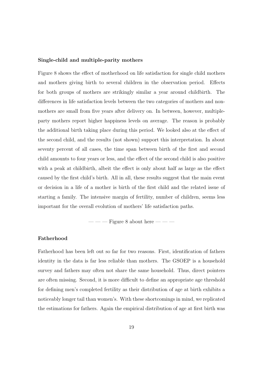#### Single-child and multiple-parity mothers

Figure 8 shows the effect of motherhood on life satisfaction for single child mothers and mothers giving birth to several children in the observation period. Effects for both groups of mothers are strikingly similar a year around childbirth. The differences in life satisfaction levels between the two categories of mothers and nonmothers are small from five years after delivery on. In between, however, multipleparty mothers report higher happiness levels on average. The reason is probably the additional birth taking place during this period. We looked also at the effect of the second child, and the results (not shown) support this interpretation. In about seventy percent of all cases, the time span between birth of the first and second child amounts to four years or less, and the effect of the second child is also positive with a peak at childbirth, albeit the effect is only about half as large as the effect caused by the first child's birth. All in all, these results suggest that the main event or decision in a life of a mother is birth of the first child and the related issue of starting a family. The intensive margin of fertility, number of children, seems less important for the overall evolution of mothers' life satisfaction paths.

 $---$  Figure 8 about here  $---$ 

### Fatherhood

Fatherhood has been left out so far for two reasons. First, identification of fathers identity in the data is far less reliable than mothers. The GSOEP is a household survey and fathers may often not share the same household. Thus, direct pointers are often missing. Second, it is more difficult to define an appropriate age threshold for defining men's completed fertility as their distribution of age at birth exhibits a noticeably longer tail than women's. With these shortcomings in mind, we replicated the estimations for fathers. Again the empirical distribution of age at first birth was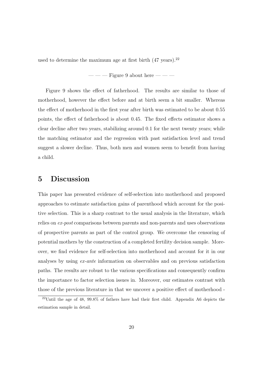used to determine the maximum age at first birth  $(47 \text{ years})$ .<sup>22</sup>

 $---$  Figure 9 about here  $---$ 

Figure 9 shows the effect of fatherhood. The results are similar to those of motherhood, however the effect before and at birth seem a bit smaller. Whereas the effect of motherhood in the first year after birth was estimated to be about 0.55 points, the effect of fatherhood is about 0.45. The fixed effects estimator shows a clear decline after two years, stabilizing around 0.1 for the next twenty years; while the matching estimator and the regression with past satisfaction level and trend suggest a slower decline. Thus, both men and women seem to benefit from having a child.

### 5 Discussion

This paper has presented evidence of self-selection into motherhood and proposed approaches to estimate satisfaction gains of parenthood which account for the positive selection. This is a sharp contrast to the usual analysis in the literature, which relies on ex-post comparisons between parents and non-parents and uses observations of prospective parents as part of the control group. We overcome the censoring of potential mothers by the construction of a completed fertility decision sample. Moreover, we find evidence for self-selection into motherhood and account for it in our analyses by using ex-ante information on observables and on previous satisfaction paths. The results are robust to the various specifications and consequently confirm the importance to factor selection issues in. Moreover, our estimates contrast with those of the previous literature in that we uncover a positive effect of motherhood -

<sup>22</sup>Until the age of 48, 99.8% of fathers have had their first child. Appendix A6 depicts the estimation sample in detail.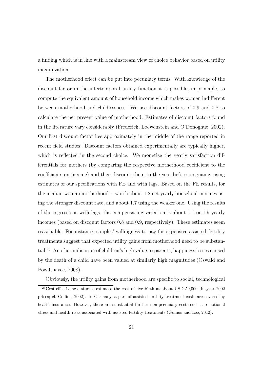a finding which is in line with a mainstream view of choice behavior based on utility maximization.

The motherhood effect can be put into pecuniary terms. With knowledge of the discount factor in the intertemporal utility function it is possible, in principle, to compute the equivalent amount of household income which makes women indifferent between motherhood and childlessness. We use discount factors of 0.9 and 0.8 to calculate the net present value of motherhood. Estimates of discount factors found in the literature vary considerably (Frederick, Loewenstein and O'Donoghue, 2002). Our first discount factor lies approximately in the middle of the range reported in recent field studies. Discount factors obtained experimentally are typically higher, which is reflected in the second choice. We monetize the yearly satisfaction differentials for mothers (by comparing the respective motherhood coefficient to the coefficients on income) and then discount them to the year before pregnancy using estimates of our specifications with FE and with lags. Based on the FE results, for the median woman motherhood is worth about 1.2 net yearly household incomes using the stronger discount rate, and about 1.7 using the weaker one. Using the results of the regressions with lags, the compensating variation is about 1.1 or 1.9 yearly incomes (based on discount factors 0.8 and 0.9, respectively). These estimates seem reasonable. For instance, couples' willingness to pay for expensive assisted fertility treatments suggest that expected utility gains from motherhood need to be substantial.<sup>23</sup> Another indication of children's high value to parents, happiness losses caused by the death of a child have been valued at similarly high magnitudes (Oswald and Powdthavee, 2008).

Obviously, the utility gains from motherhood are specific to social, technological

<sup>23</sup>Cost-effectiveness studies estimate the cost of live birth at about USD 50,000 (in year 2002 prices; cf. Collins, 2002). In Germany, a part of assisted fertility treatment costs are covered by health insurance. However, there are substantial further non-pecuniary costs such as emotional stress and health risks associated with assisted fertility treatments (Gumus and Lee, 2012).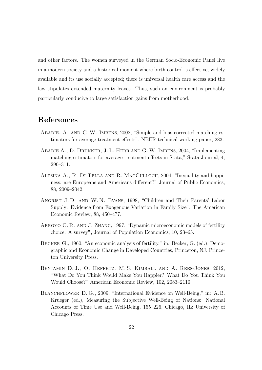and other factors. The women surveyed in the German Socio-Economic Panel live in a modern society and a historical moment where birth control is effective, widely available and its use socially accepted; there is universal health care access and the law stipulates extended maternity leaves. Thus, such an environment is probably particularly conducive to large satisfaction gains from motherhood.

### References

- ABADIE, A. AND G.W. IMBENS, 2002, "Simple and bias-corrected matching estimators for average treatment effects", NBER technical working paper, 283.
- Abadie A., D. Drukker, J. L. Herr and G.W. Imbens, 2004, "Implementing matching estimators for average treatment effects in Stata," Stata Journal, 4, 290–311.
- Alesina A., R. Di Tella and R. MacCulloch, 2004, "Inequality and happiness: are Europeans and Americans different?" Journal of Public Economics, 88, 2009–2042.
- ANGRIST J.D. AND W.N. EVANS, 1998, "Children and Their Parents' Labor Supply: Evidence from Exogenous Variation in Family Size", The American Economic Review, 88, 450–477.
- ARROYO C. R. AND J. ZHANG, 1997, "Dynamic microeconomic models of fertility choice: A survey", Journal of Population Economics, 10, 23–65.
- Becker G., 1960, "An economic analysis of fertility," in: Becker, G. (ed.), Demographic and Economic Change in Developed Countries, Princeton, NJ: Princeton University Press.
- Benjamin D. J., O. Heffetz, M. S. Kimball and A. Rees-Jones, 2012, "What Do You Think Would Make You Happier? What Do You Think You Would Choose?" American Economic Review, 102, 2083–2110.
- BLANCHFLOWER D. G., 2009, "International Evidence on Well-Being," in: A. B. Krueger (ed.), Measuring the Subjective Well-Being of Nations: National Accounts of Time Use and Well-Being, 155–226, Chicago, IL: University of Chicago Press.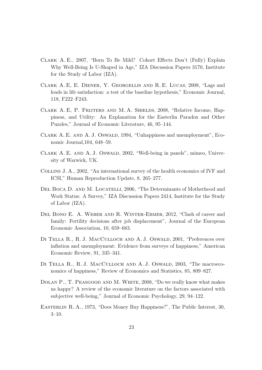- Clark A. E., 2007, "Born To Be Mild? Cohort Effects Don't (Fully) Explain Why Well-Being Is U-Shaped in Age," IZA Discussion Papers 3170, Institute for the Study of Labor (IZA).
- Clark A. E, E. Diener, Y. Georgellis and R. E. Lucas, 2008, "Lags and leads in life satisfaction: a test of the baseline hypothesis," Economic Journal, 118, F222–F243.
- Clark A. E, P. Frijters and M. A. Shields, 2008, "Relative Income, Happiness, and Utility: An Explanation for the Easterlin Paradox and Other Puzzles," Journal of Economic Literature, 46, 95–144.
- CLARK A. E. AND A. J. OSWALD, 1994, "Unhappiness and unemployment", Economic Journal,104, 648–59.
- CLARK A. E. AND A. J. OSWALD, 2002, "Well-being in panels", mimeo, University of Warwick, UK.
- Collins J. A., 2002, "An international survey of the health economics of IVF and ICSI," Human Reproduction Update, 8, 265–277.
- DEL BOCA D. AND M. LOCATELLI, 2006, "The Determinants of Motherhood and Work Status: A Survey," IZA Discussion Papers 2414, Institute for the Study of Labor (IZA).
- Del Bono E. A. Weber and R. Winter-Ebmer, 2012, "Clash of career and family: Fertility decisions after job displacement", Journal of the European Economic Association, 10, 659–683.
- DI TELLA R., R. J. MACCULLOCH AND A. J. OSWALD, 2001, "Preferences over inflation and unemployment: Evidence from surveys of happiness," American Economic Review, 91, 335–341.
- DI TELLA R., R. J. MACCULLOCH AND A. J. OSWALD, 2003, "The macroeconomics of happiness," Review of Economics and Statistics, 85, 809–827.
- Dolan P., T. Peasgood and M. White, 2008, "Do we really know what makes us happy? A review of the economic literature on the factors associated with subjective well-being," Journal of Economic Psychology, 29, 94–122.
- Easterlin R. A., 1973, "Does Money Buy Happiness?", The Public Interest, 30, 3–10.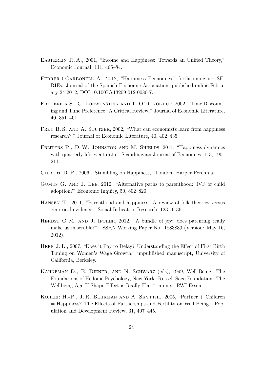- Easterlin R. A., 2001, "Income and Happiness: Towards an Unified Theory," Economic Journal, 111, 465–84.
- FERRER-I-CARBONELL A., 2012, "Happiness Economics," forthcoming in: SE-RIEs: Journal of the Spanish Economic Association, published online February 24 2012, DOI 10.1007/s13209-012-0086-7.
- Frederick S., G. Loewenstein and T. O'Donoghue, 2002, "Time Discounting and Time Preference: A Critical Review," Journal of Economic Literature, 40, 351–401.
- FREY B. S. AND A. STUTZER, 2002, "What can economists learn from happiness" research?," Journal of Economic Literature, 40, 402–435.
- FRIJTERS P., D.W. JOHNSTON AND M. SHIELDS, 2011, "Happiness dynamics with quarterly life event data," Scandinavian Journal of Economics, 113, 190– 211.
- Gilbert D. P., 2006, "Stumbling on Happiness," London: Harper Perennial.
- Gumus G. and J. Lee, 2012, "Alternative paths to parenthood: IVF or child adoption?" Economic Inquiry, 50, 802–820.
- Hansen T., 2011, "Parenthood and happiness: A review of folk theories versus empirical evidence," Social Indicators Research, 123, 1–36.
- HERBST C. M. AND J. IFCHER, 2012, "A bundle of joy: does parenting really make us miserable?" , SSRN Working Paper No. 1883839 (Version: May 16, 2012).
- HERR J. L., 2007, "Does it Pay to Delay? Understanding the Effect of First Birth Timing on Women's Wage Growth," unpublished manuscript, University of California, Berkeley.
- Kahneman D., E. Diener, and N. Schwarz (eds), 1999, Well-Being: The Foundations of Hedonic Psychology, New York: Russell Sage Foundation. The Wellbeing Age U-Shape Effect is Really Flat!", mimeo, RWI-Essen.
- Kohler H.-P., J. R. Behrman and A. Skytthe, 2005, "Partner + Children = Happiness? The Effects of Partnerships and Fertility on Well-Being," Population and Development Review, 31, 407–445.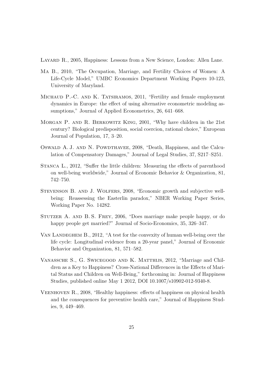LAYARD R., 2005, Happiness: Lessons from a New Science, London: Allen Lane.

- Ma B., 2010, "The Occupation, Marriage, and Fertility Choices of Women: A Life-Cycle Model," UMBC Economics Department Working Papers 10-123, University of Maryland.
- MICHAUD P.-C. AND K. TATSIRAMOS, 2011, "Fertility and female employment dynamics in Europe: the effect of using alternative econometric modeling assumptions," Journal of Applied Econometrics, 26, 641–668.
- Morgan P. and R. Berkowitz King, 2001, "Why have children in the 21st century? Biological predisposition, social coercion, rational choice," European Journal of Population, 17, 3–20.
- Oswald A. J. and N. Powdthavee, 2008, "Death, Happiness, and the Calculation of Compensatory Damages," Journal of Legal Studies, 37, S217–S251.
- Stanca L., 2012, "Suffer the little children: Measuring the effects of parenthood on well-being worldwide," Journal of Economic Behavior & Organization, 81, 742–750.
- Stevenson B. and J. Wolfers, 2008, "Economic growth and subjective wellbeing: Reassessing the Easterlin paradox," NBER Working Paper Series, Working Paper No. 14282.
- Stutzer A. and B. S. Frey, 2006, "Does marriage make people happy, or do happy people get married?" Journal of Socio-Economics, 35, 326–347.
- VAN LANDEGHEM B., 2012, "A test for the convexity of human well-being over the life cycle: Longitudinal evidence from a 20-year panel," Journal of Economic Behavior and Organization, 81, 571–582.
- VANASSCHE S., G. SWICEGOOD AND K. MATTHIJS, 2012, "Marriage and Children as a Key to Happiness? Cross-National Differences in the Effects of Marital Status and Children on Well-Being," forthcoming in: Journal of Happiness Studies, published online May 1 2012, DOI 10.1007/s10902-012-9340-8.
- Veenhoven R., 2008, "Healthy happiness: effects of happiness on physical health and the consequences for preventive health care," Journal of Happiness Studies, 9, 449–469.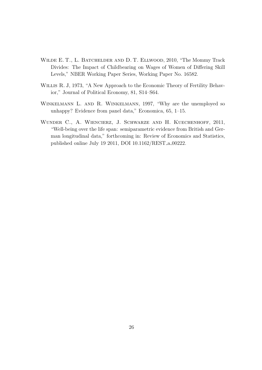- WILDE E. T., L. BATCHELDER AND D. T. ELLWOOD, 2010, "The Mommy Track Divides: The Impact of Childbearing on Wages of Women of Differing Skill Levels," NBER Working Paper Series, Working Paper No. 16582.
- Willis R. J, 1973, "A New Approach to the Economic Theory of Fertility Behavior," Journal of Political Economy, 81, S14–S64.
- WINKELMANN L. AND R. WINKELMANN, 1997, "Why are the unemployed so unhappy? Evidence from panel data," Economica, 65, 1–15.
- WUNDER C., A. WIENCIERZ, J. SCHWARZE AND H. KUECHENHOFF, 2011, "Well-being over the life span: semiparametric evidence from British and German longitudinal data," forthcoming in: Review of Economics and Statistics, published online July 19 2011, DOI 10.1162/REST a 00222.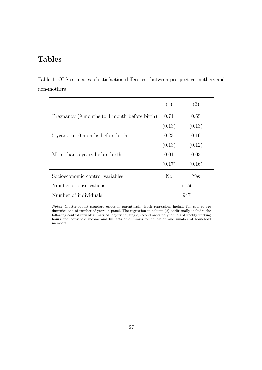# Tables

Table 1: OLS estimates of satisfaction differences between prospective mothers and non-mothers

|                                              | (1)    | (2)    |  |
|----------------------------------------------|--------|--------|--|
| Pregnancy (9 months to 1 month before birth) | 0.71   | 0.65   |  |
|                                              | (0.13) | (0.13) |  |
| 5 years to 10 months before birth            | 0.23   | 0.16   |  |
|                                              | (0.13) | (0.12) |  |
| More than 5 years before birth               | 0.01   | 0.03   |  |
|                                              | (0.17) | (0.16) |  |
| Socioeconomic control variables              | No.    | Yes    |  |
| Number of observations                       | 5,756  |        |  |
| Number of individuals                        | 947    |        |  |

Notes: Cluster robust standard errors in parenthesis. Both regressions include full sets of age dummies and of number of years in panel. The regression in column (2) additionally includes the following control variables: married, boyfriend, single, second order polynomials of weekly working hours and household income and full sets of dummies for education and number of household members.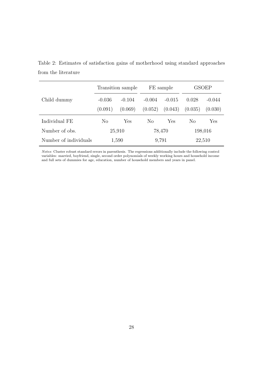|                       |                      | Transition sample |          | FE sample | GSOEP   |         |  |
|-----------------------|----------------------|-------------------|----------|-----------|---------|---------|--|
| Child dummy           | $-0.036$<br>$-0.104$ |                   | $-0.004$ | $-0.015$  | 0.028   |         |  |
|                       | (0.091)              | (0.069)           | (0.052)  | (0.043)   | (0.035) | (0.030) |  |
| Individual FE         | No                   | Yes               | No       | Yes       | No      | Yes     |  |
| Number of obs.        | 25,910               |                   |          | 78,470    | 198,016 |         |  |
| Number of individuals | 1,590                |                   | 9,791    |           | 22,510  |         |  |

Table 2: Estimates of satisfaction gains of motherhood using standard approaches from the literature

Notes: Cluster robust standard errors in parenthesis. The regressions additionally include the following control variables: married, boyfriend, single, second order polynomials of weekly working hours and household income and full sets of dummies for age, education, number of household members and years in panel.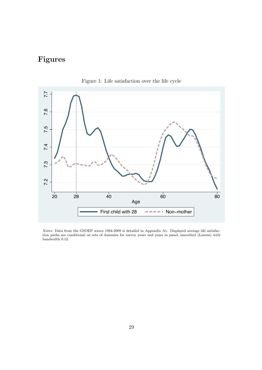# Figures



Figure 1: Life satisfaction over the life cycle

Notes: Data from the GSOEP waves 1984-2009 is detailed in Appendix A1. Displayed average life satisfaction paths are conditional on sets of dummies for survey years and years in panel, smoothed (Lowess) with bandwidth 0.12.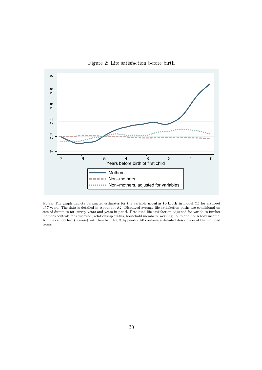

Figure 2: Life satisfaction before birth

Notes: The graph depicts parameter estimates for the variable months to birth in model (1) for a subset of 7 years. The data is detailed in Appendix A2. Displayed average life satisfaction paths are conditional on sets of dummies for survey years and years in panel. Predicted life satisfaction adjusted for variables further includes controls for education, relationship status, household members, working hours and household income. All lines smoothed (Lowess) with bandwidth 0.3 Appendix A0 contains a detailed description of the included terms.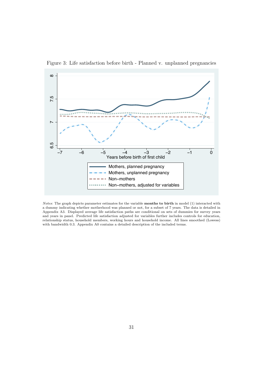



Notes: The graph depicts parameter estimates for the variable months to birth in model (1) interacted with a dummy indicating whether motherhood was planned or not, for a subset of 7 years. The data is detailed in Appendix A3. Displayed average life satisfaction paths are conditional on sets of dummies for survey years and years in panel. Predicted life satisfaction adjusted for variables further includes controls for education, relationship status, household members, working hours and household income. All lines smoothed (Lowess) with bandwidth 0.3. Appendix A0 contains a detailed description of the included terms.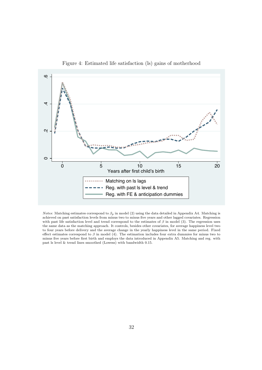

Figure 4: Estimated life satisfaction (ls) gains of motherhood

*Notes*: Matching estimates correspond to  $\beta_p$  in model (2) using the data detailed in Appendix A4. Matching is achieved on past satisfaction levels from minus two to minus five years and other lagged covariates. Regression with past life satisfaction level and trend correspond to the estimates of  $\beta$  in model (3). The regression uses the same data as the matching approach. It controls, besides other covariates, for average happiness level two to four years before delivery and the average change in the yearly happiness level in the same period. Fixed effect estimates correspond to  $\beta$  in model (4). The estimation includes four extra dummies for minus two to minus five years before first birth and employs the data introduced in Appendix A5. Matching and reg. with past ls level & trend lines smoothed (Lowess) with bandwidth 0.15.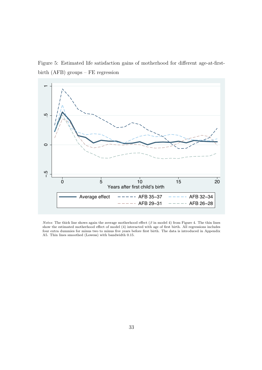Figure 5: Estimated life satisfaction gains of motherhood for different age-at-firstbirth (AFB) groups – FE regression



Notes: The thick line shows again the average motherhood effect  $(\beta$  in model 4) from Figure 4. The thin lines show the estimated motherhood effect of model (4) interacted with age of first birth. All regressions includes four extra dummies for minus two to minus five years before first birth. The data is introduced in Appendix A5. Thin lines smoothed (Lowess) with bandwidth 0.15.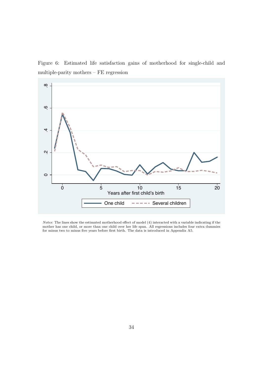Figure 6: Estimated life satisfaction gains of motherhood for single-child and multiple-parity mothers – FE regression



Notes: The lines show the estimated motherhood effect of model (4) interacted with a variable indicating if the mother has one child, or more than one child over her life span. All regressions includes four extra dummies for minus two to minus five years before first birth. The data is introduced in Appendix A5.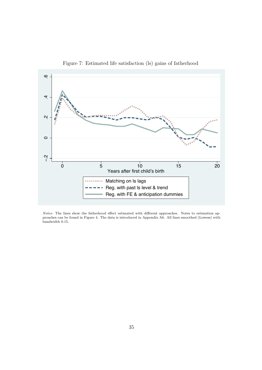

Figure 7: Estimated life satisfaction (ls) gains of fatherhood

Notes: The lines show the fatherhood effect estimated with different approaches. Notes to estimation approaches can be found in Figure 4. The data is introduced in Appendix A6. All lines smoothed (Lowess) with bandwidth 0.15.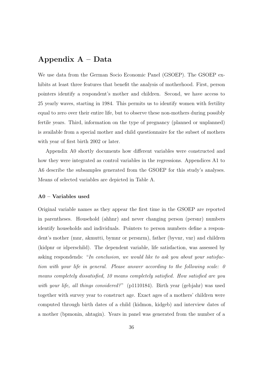### Appendix A – Data

We use data from the German Socio Economic Panel (GSOEP). The GSOEP exhibits at least three features that benefit the analysis of motherhood. First, person pointers identify a respondent's mother and children. Second, we have access to 25 yearly waves, starting in 1984. This permits us to identify women with fertility equal to zero over their entire life, but to observe these non-mothers during possibly fertile years. Third, information on the type of pregnancy (planned or unplanned) is available from a special mother and child questionnaire for the subset of mothers with year of first birth 2002 or later.

Appendix A0 shortly documents how different variables were constructed and how they were integrated as control variables in the regressions. Appendices A1 to A6 describe the subsamples generated from the GSOEP for this study's analyses. Means of selected variables are depicted in Table A.

#### A0 – Variables used

Original variable names as they appear the first time in the GSOEP are reported in parentheses. Household (ahhnr) and never changing person (persnr) numbers identify households and individuals. Pointers to person numbers define a respondent's mother (mnr, akmutti, bymnr or persnrm), father (byvnr, vnr) and children (kidpnr or idperschild). The dependent variable, life satisfaction, was assessed by asking respondends: "In conclusion, we would like to ask you about your satisfaction with your life in general. Please answer according to the following scale: 0 means completely dissatisfied, 10 means completely satisfied. How satisfied are you with your life, all things considered?" (p1110184). Birth year (gebjahr) was used together with survey year to construct age. Exact ages of a mothers' children were computed through birth dates of a child (kidmon, kidgeb) and interview dates of a mother (bpmonin, ahtagin). Years in panel was generated from the number of a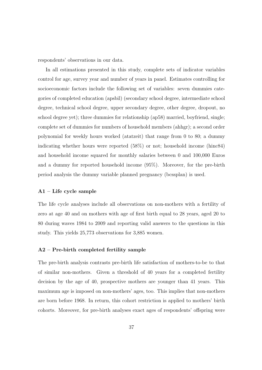respondents' observations in our data.

In all estimations presented in this study, complete sets of indicator variables control for age, survey year and number of years in panel. Estimates controlling for socioeconomic factors include the following set of variables: seven dummies categories of completed education (apsbil) (secondary school degree, intermediate school degree, technical school degree, upper secondary degree, other degree, dropout, no school degree yet); three dummies for relationship (ap58) married, boyfriend, single; complete set of dummies for numbers of household members (ahhgr); a second order polynomial for weekly hours worked (atatzeit) that range from 0 to 80; a dummy indicating whether hours were reported (58%) or not; household income (hinc84) and household income squared for monthly salaries between 0 and 100,000 Euros and a dummy for reported household income (95%). Moreover, for the pre-birth period analysis the dummy variable planned pregnancy (bcssplan) is used.

### A1 – Life cycle sample

The life cycle analyses include all observations on non-mothers with a fertility of zero at age 40 and on mothers with age of first birth equal to 28 years, aged 20 to 80 during waves 1984 to 2009 and reporting valid answers to the questions in this study. This yields 25,773 observations for 3,885 women.

### A2 – Pre-birth completed fertility sample

The pre-birth analysis contrasts pre-birth life satisfaction of mothers-to-be to that of similar non-mothers. Given a threshold of 40 years for a completed fertility decision by the age of 40, prospective mothers are younger than 41 years. This maximum age is imposed on non-mothers' ages, too. This implies that non-mothers are born before 1968. In return, this cohort restriction is applied to mothers' birth cohorts. Moreover, for pre-birth analyses exact ages of respondents' offspring were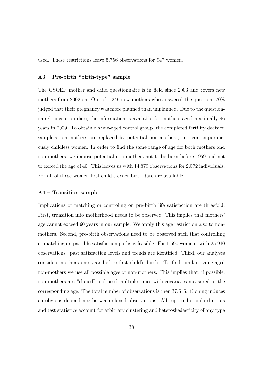used. These restrictions leave 5,756 observations for 947 women.

#### A3 – Pre-birth "birth-type" sample

The GSOEP mother and child questionnaire is in field since 2003 and covers new mothers from 2002 on. Out of 1,249 new mothers who answered the question, 70% judged that their pregnancy was more planned than unplanned. Due to the questionnaire's inception date, the information is available for mothers aged maximally 46 years in 2009. To obtain a same-aged control group, the completed fertility decision sample's non-mothers are replaced by potential non-mothers, i.e. contemporaneously childless women. In order to find the same range of age for both mothers and non-mothers, we impose potential non-mothers not to be born before 1959 and not to exceed the age of 40. This leaves us with 14,879 observations for 2,572 individuals. For all of these women first child's exact birth date are available.

### A4 – Transition sample

Implications of matching or controling on pre-birth life satisfaction are threefold. First, transition into motherhood needs to be observed. This implies that mothers' age cannot exceed 60 years in our sample. We apply this age restriction also to nonmothers. Second, pre-birth observations need to be observed such that controlling or matching on past life satisfaction paths is feasible. For 1,590 women –with 25,910 observations– past satisfaction levels and trends are identified. Third, our analyses considers mothers one year before first child's birth. To find similar, same-aged non-mothers we use all possible ages of non-mothers. This implies that, if possible, non-mothers are "cloned" and used multiple times with covariates measured at the corresponding age. The total number of observations is then 37,616. Cloning induces an obvious dependence between cloned observations. All reported standard errors and test statistics account for arbitrary clustering and heteroskedasticity of any type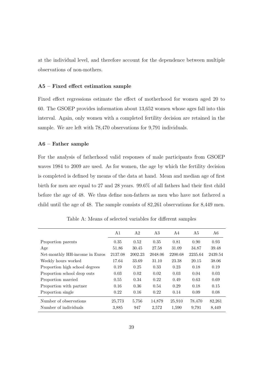at the individual level, and therefore account for the dependence between multiple observations of non-mothers.

### A5 – Fixed effect estimation sample

Fixed effect regressions estimate the effect of motherhood for women aged 20 to 60. The GSOEP provides information about 13,652 women whose ages fall into this interval. Again, only women with a completed fertility decision are retained in the sample. We are left with 78,470 observations for 9,791 individuals.

#### A6 – Father sample

For the analysis of fatherhood valid responses of male participants from GSOEP waves 1984 to 2009 are used. As for women, the age by which the fertility decision is completed is defined by means of the data at hand. Mean and median age of first birth for men are equal to 27 and 28 years. 99.6% of all fathers had their first child before the age of 48. We thus define non-fathers as men who have not fathered a child until the age of 48. The sample consists of 82,261 observations for 8,449 men.

|                                | A <sub>1</sub> | A <sub>2</sub> | A3      | A4      | A5      | A6      |
|--------------------------------|----------------|----------------|---------|---------|---------|---------|
| Proportion parents             | 0.35           | 0.52           | 0.35    | 0.81    | 0.90    | 0.93    |
| Age                            | 51.86          | 30.45          | 27.58   | 31.09   | 34.87   | 39.48   |
| Net-monthly HH-income in Euros | 2137.08        | 2002.23        | 2048.06 | 2200.68 | 2235.64 | 2439.54 |
| Weekly hours worked            | 17.64          | 33.69          | 31.10   | 23.38   | 20.15   | 38.06   |
| Proportion high school degrees | 0.19           | 0.25           | 0.33    | 0.23    | 0.18    | 0.19    |
| Proportion school drop outs    | 0.03           | 0.02           | 0.02    | 0.03    | 0.04    | 0.03    |
| Proportion married             | 0.55           | 0.34           | 0.22    | 0.49    | 0.63    | 0.69    |
| Proportion with partner        | 0.16           | 0.36           | 0.54    | 0.29    | 0.18    | 0.15    |
| Proportion single              | 0.22           | 0.16           | 0.22    | 0.14    | 0.09    | 0.08    |
| Number of observations         | 25,773         | 5,756          | 14,879  | 25,910  | 78,470  | 82,261  |
| Number of individuals          | 3,885          | 947            | 2,572   | 1,590   | 9,791   | 8,449   |

Table A: Means of selected variables for different samples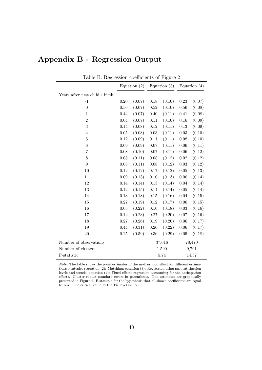| Table B: Regression coefficients of Figure 2 |                |        |                |        |                |        |
|----------------------------------------------|----------------|--------|----------------|--------|----------------|--------|
|                                              | Equation $(2)$ |        | Equation $(3)$ |        | Equation $(4)$ |        |
| Years after first child's birth:             |                |        |                |        |                |        |
| $-1$                                         | $0.20\,$       | (0.07) | $0.18\,$       | (0.10) | 0.23           | (0.07) |
| $\boldsymbol{0}$                             | 0.56           | (0.07) | $\rm 0.52$     | (0.10) | 0.56           | (0.08) |
| $\mathbf{1}$                                 | 0.44           | (0.07) | 0.40           | (0.11) | 0.41           | (0.08) |
| $\overline{2}$                               | 0.04           | (0.07) | 0.11           | (0.10) | 0.16           | (0.09) |
| 3                                            | 0.14           | (0.08) | 0.12           | (0.11) | 0.13           | (0.09) |
| $\overline{4}$                               | $0.05\,$       | (0.08) | 0.03           | (0.11) | 0.03           | (0.10) |
| $\overline{5}$                               | 0.12           | (0.09) | 0.11           | (0.11) | $0.08\,$       | (0.10) |
| $\overline{6}$                               | 0.09           | (0.09) | 0.07           | (0.11) | $0.06\,$       | (0.11) |
| 7                                            | 0.08           | (0.10) | 0.07           | (0.11) | 0.06           | (0.12) |
| 8                                            | 0.08           | (0.11) | 0.08           | (0.12) | 0.02           | (0.12) |
| $\overline{9}$                               | 0.08           | (0.11) | 0.08           | (0.12) | $0.03\,$       | (0.12) |
| 10                                           | 0.12           | (0.12) | 0.17           | (0.12) | $0.05\,$       | (0.13) |
| 11                                           | 0.09           | (0.13) | 0.10           | (0.13) | 0.00           | (0.14) |
| 12                                           | 0.14           | (0.14) | 0.13           | (0.14) | 0.04           | (0.14) |
| $13\,$                                       | 0.12           | (0.15) | 0.14           | (0.14) | $0.05\,$       | (0.14) |
| 14                                           | 0.13           | (0.18) | 0.15           | (0.16) | 0.04           | (0.15) |
| 15                                           | 0.27           | (0.19) | 0.12           | (0.17) | 0.06           | (0.15) |
| 16                                           | $0.05\,$       | (0.22) | 0.10           | (0.18) | 0.03           | (0.16) |
| $17\,$                                       | $0.12\,$       | (0.23) | $0.27\,$       | (0.20) | $0.07\,$       | (0.16) |
| 18                                           | 0.27           | (0.26) | 0.19           | (0.20) | 0.06           | (0.17) |
| 19                                           | 0.44           | (0.31) | 0.26           | (0.22) | 0.06           | (0.17) |
| 20                                           | $0.25\,$       | (0.59) | $0.36\,$       | (0.29) | $0.05\,$       | (0.18) |
| Number of observations                       |                |        | 37,616         |        | 78,470         |        |
| Number of clusters                           |                |        | 1,590          |        | 9,791          |        |
| F-statistic                                  |                |        | 5.74           |        | 14.37          |        |

# Appendix B - Regression Output

Note: The table shows the point estimates of the motherhood effect for different estimations strategies (equation (2): Matching; equation (3): Regression using past satisfaction levels and trends; equation (4): Fixed effects regression accounting for the anticipation effect). Cluster robust standard errors in parenthesis. The estimates are graphically presented in Figure 2. F-statistic for the hypothesis that all shown coefficients are equal to zero. The critical value at the 1% level is 1.85.